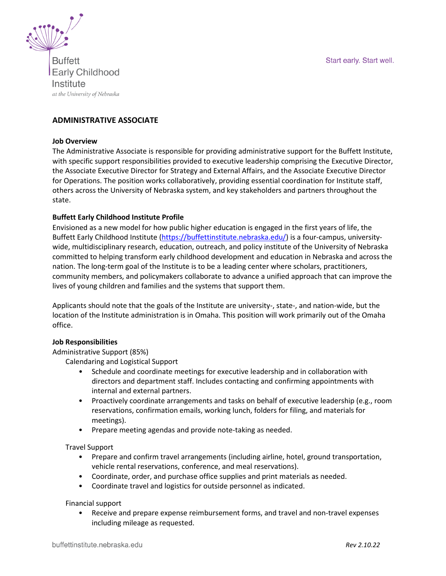



**Buffett Early Childhood** Institute at the University of Nebraska

# **ADMINISTRATIVE ASSOCIATE**

#### **Job Overview**

The Administrative Associate is responsible for providing administrative support for the Buffett Institute, with specific support responsibilities provided to executive leadership comprising the Executive Director, the Associate Executive Director for Strategy and External Affairs, and the Associate Executive Director for Operations. The position works collaboratively, providing essential coordination for Institute staff, others across the University of Nebraska system, and key stakeholders and partners throughout the state.

### **Buffett Early Childhood Institute Profile**

Envisioned as a new model for how public higher education is engaged in the first years of life, the Buffett Early Childhood Institute [\(https://buffettinstitute.nebraska.edu/\)](https://buffettinstitute.nebraska.edu/) is a four-campus, universitywide, multidisciplinary research, education, outreach, and policy institute of the University of Nebraska committed to helping transform early childhood development and education in Nebraska and across the nation. The long-term goal of the Institute is to be a leading center where scholars, practitioners, community members, and policymakers collaborate to advance a unified approach that can improve the lives of young children and families and the systems that support them.

Applicants should note that the goals of the Institute are university-, state-, and nation-wide, but the location of the Institute administration is in Omaha. This position will work primarily out of the Omaha office.

## **Job Responsibilities**

Administrative Support (85%)

Calendaring and Logistical Support

- Schedule and coordinate meetings for executive leadership and in collaboration with directors and department staff. Includes contacting and confirming appointments with internal and external partners.
- Proactively coordinate arrangements and tasks on behalf of executive leadership (e.g., room reservations, confirmation emails, working lunch, folders for filing, and materials for meetings).
- Prepare meeting agendas and provide note-taking as needed.

Travel Support

- Prepare and confirm travel arrangements (including airline, hotel, ground transportation, vehicle rental reservations, conference, and meal reservations).
- Coordinate, order, and purchase office supplies and print materials as needed.
- Coordinate travel and logistics for outside personnel as indicated.

#### Financial support

• Receive and prepare expense reimbursement forms, and travel and non-travel expenses including mileage as requested.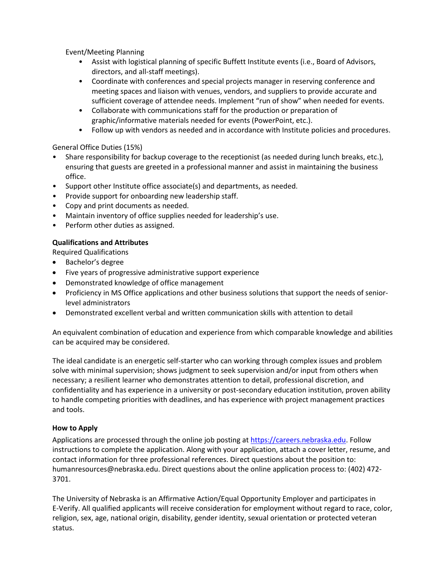Event/Meeting Planning

- Assist with logistical planning of specific Buffett Institute events (i.e., Board of Advisors, directors, and all-staff meetings).
- Coordinate with conferences and special projects manager in reserving conference and meeting spaces and liaison with venues, vendors, and suppliers to provide accurate and sufficient coverage of attendee needs. Implement "run of show" when needed for events.
- Collaborate with communications staff for the production or preparation of graphic/informative materials needed for events (PowerPoint, etc.).
- Follow up with vendors as needed and in accordance with Institute policies and procedures.

# General Office Duties (15%)

- Share responsibility for backup coverage to the receptionist (as needed during lunch breaks, etc.), ensuring that guests are greeted in a professional manner and assist in maintaining the business office.
- Support other Institute office associate(s) and departments, as needed.
- Provide support for onboarding new leadership staff.
- Copy and print documents as needed.
- Maintain inventory of office supplies needed for leadership's use.
- Perform other duties as assigned.

# **Qualifications and Attributes**

Required Qualifications

- Bachelor's degree
- Five years of progressive administrative support experience
- Demonstrated knowledge of office management
- Proficiency in MS Office applications and other business solutions that support the needs of seniorlevel administrators
- Demonstrated excellent verbal and written communication skills with attention to detail

An equivalent combination of education and experience from which comparable knowledge and abilities can be acquired may be considered.

The ideal candidate is an energetic self-starter who can working through complex issues and problem solve with minimal supervision; shows judgment to seek supervision and/or input from others when necessary; a resilient learner who demonstrates attention to detail, professional discretion, and confidentiality and has experience in a university or post-secondary education institution, proven ability to handle competing priorities with deadlines, and has experience with project management practices and tools.

## **How to Apply**

Applications are processed through the online job posting at [https://careers.nebraska.edu.](https://careers.nebraska.edu/) Follow instructions to complete the application. Along with your application, attach a cover letter, resume, and contact information for three professional references. Direct questions about the position to: humanresources@nebraska.edu. Direct questions about the online application process to: (402) 472- 3701.

The University of Nebraska is an Affirmative Action/Equal Opportunity Employer and participates in E-Verify. All qualified applicants will receive consideration for employment without regard to race, color, religion, sex, age, national origin, disability, gender identity, sexual orientation or protected veteran status.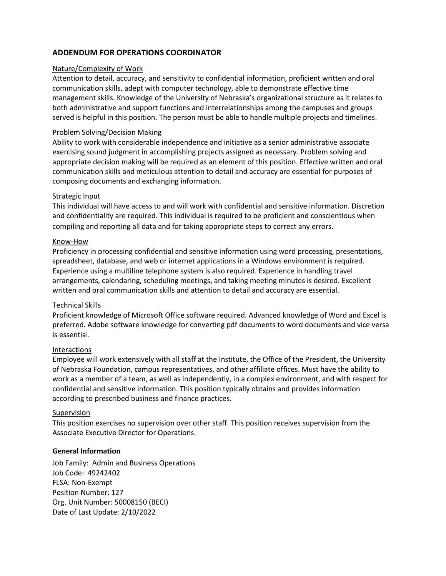# **ADDENDUM FOR OPERATIONS COORDINATOR**

### Nature/Complexity of Work

Attention to detail, accuracy, and sensitivity to confidential information, proficient written and oral communication skills, adept with computer technology, able to demonstrate effective time management skills. Knowledge of the University of Nebraska's organizational structure as it relates to both administrative and support functions and interrelationships among the campuses and groups served is helpful in this position. The person must be able to handle multiple projects and timelines.  

### Problem Solving/Decision Making

Ability to work with considerable independence and initiative as a senior administrative associate exercising sound judgment in accomplishing projects assigned as necessary. Problem solving and appropriate decision making will be required as an element of this position. Effective written and oral communication skills and meticulous attention to detail and accuracy are essential for purposes of composing documents and exchanging information.

### Strategic Input

This individual will have access to and will work with confidential and sensitive information. Discretion and confidentiality are required. This individual is required to be proficient and conscientious when compiling and reporting all data and for taking appropriate steps to correct any errors.  

### Know-How

Proficiency in processing confidential and sensitive information using word processing, presentations, spreadsheet, database, and web or internet applications in a Windows environment is required. Experience using a multiline telephone system is also required. Experience in handling travel arrangements, calendaring, scheduling meetings, and taking meeting minutes is desired. Excellent written and oral communication skills and attention to detail and accuracy are essential.  

#### Technical Skills

Proficient knowledge of Microsoft Office software required. Advanced knowledge of Word and Excel is preferred. Adobe software knowledge for converting pdf documents to word documents and vice versa is essential.

## Interactions

Employee will work extensively with all staff at the Institute, the Office of the President, the University of Nebraska Foundation, campus representatives, and other affiliate offices. Must have the ability to work as a member of a team, as well as independently, in a complex environment, and with respect for confidential and sensitive information. This position typically obtains and provides information according to prescribed business and finance practices.  

#### Supervision

This position exercises no supervision over other staff. This position receives supervision from the Associate Executive Director for Operations.

## **General Information**

Job Family: Admin and Business Operations Job Code: 49242402 FLSA: Non-Exempt Position Number: 127 Org. Unit Number: 50008150 (BECI) Date of Last Update: 2/10/2022